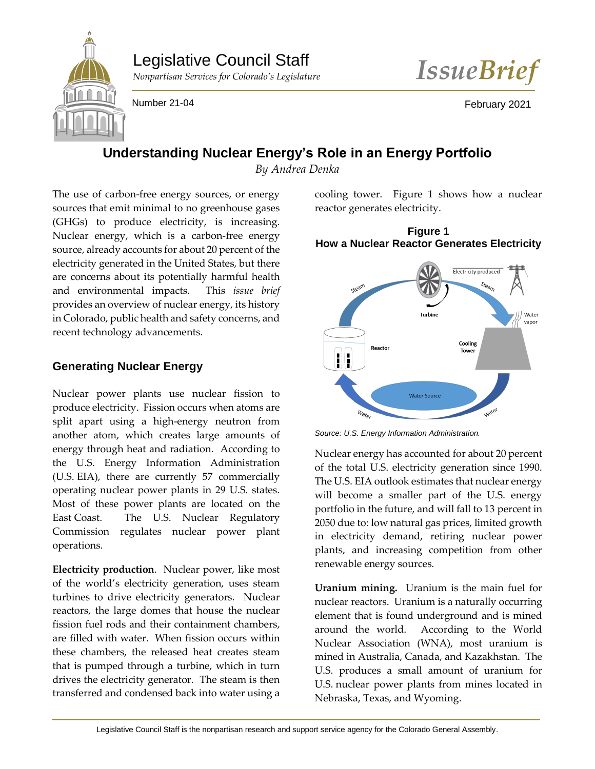# Legislative Council Staff





Number 21-04 February 2021

## **Understanding Nuclear Energy's Role in an Energy Portfolio**

*By Andrea Denka*

The use of carbon-free energy sources, or energy sources that emit minimal to no greenhouse gases (GHGs) to produce electricity, is increasing. Nuclear energy, which is a carbon-free energy source, already accounts for about 20 percent of the electricity generated in the United States, but there are concerns about its potentially harmful health and environmental impacts. This *issue brief* provides an overview of nuclear energy, its history in Colorado, public health and safety concerns, and recent technology advancements.

### **Generating Nuclear Energy**

Nuclear power plants use nuclear fission to produce electricity. Fission occurs when atoms are split apart using a high-energy neutron from another atom, which creates large amounts of energy through heat and radiation. According to the U.S. Energy Information Administration (U.S. EIA), there are currently 57 commercially operating nuclear power plants in 29 U.S. states. Most of these power plants are located on the East Coast. The U.S. Nuclear Regulatory Commission regulates nuclear power plant operations.

**Electricity production**. Nuclear power, like most of the world's electricity generation, uses steam turbines to drive electricity generators. Nuclear reactors, the large domes that house the nuclear fission fuel rods and their containment chambers, are filled with water. When fission occurs within these chambers, the released heat creates steam that is pumped through a turbine, which in turn drives the electricity generator. The steam is then transferred and condensed back into water using a

cooling tower. Figure 1 shows how a nuclear reactor generates electricity.

**Figure 1 How a Nuclear Reactor Generates Electricity**



*Source: U.S. Energy Information Administration.*

Nuclear energy has accounted for about 20 percent of the total U.S. electricity generation since 1990. The U.S. EIA outlook estimates that nuclear energy will become a smaller part of the U.S. energy portfolio in the future, and will fall to 13 percent in 2050 due to: low natural gas prices, limited growth in electricity demand, retiring nuclear power plants, and increasing competition from other renewable energy sources.

**Uranium mining.** Uranium is the main fuel for nuclear reactors.Uranium is a naturally occurring element that is found underground and is mined around the world. According to the World Nuclear Association (WNA), most uranium is mined in Australia, Canada, and Kazakhstan. The U.S. produces a small amount of uranium for U.S. nuclear power plants from mines located in Nebraska, Texas, and Wyoming.